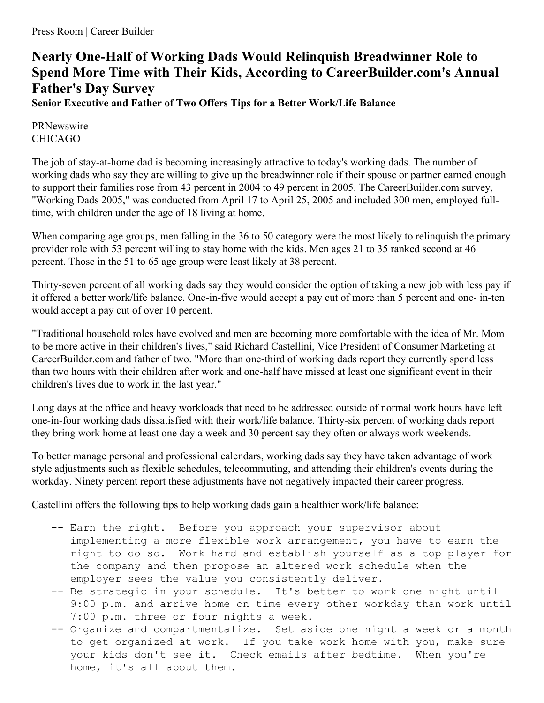## **Nearly One-Half of Working Dads Would Relinquish Breadwinner Role to Spend More Time with Their Kids, According to CareerBuilder.com's Annual Father's Day Survey**

**Senior Executive and Father of Two Offers Tips for a Better Work/Life Balance**

PRNewswire CHICAGO

The job of stay-at-home dad is becoming increasingly attractive to today's working dads. The number of working dads who say they are willing to give up the breadwinner role if their spouse or partner earned enough to support their families rose from 43 percent in 2004 to 49 percent in 2005. The CareerBuilder.com survey, "Working Dads 2005," was conducted from April 17 to April 25, 2005 and included 300 men, employed fulltime, with children under the age of 18 living at home.

When comparing age groups, men falling in the 36 to 50 category were the most likely to relinquish the primary provider role with 53 percent willing to stay home with the kids. Men ages 21 to 35 ranked second at 46 percent. Those in the 51 to 65 age group were least likely at 38 percent.

Thirty-seven percent of all working dads say they would consider the option of taking a new job with less pay if it offered a better work/life balance. One-in-five would accept a pay cut of more than 5 percent and one- in-ten would accept a pay cut of over 10 percent.

"Traditional household roles have evolved and men are becoming more comfortable with the idea of Mr. Mom to be more active in their children's lives," said Richard Castellini, Vice President of Consumer Marketing at CareerBuilder.com and father of two. "More than one-third of working dads report they currently spend less than two hours with their children after work and one-half have missed at least one significant event in their children's lives due to work in the last year."

Long days at the office and heavy workloads that need to be addressed outside of normal work hours have left one-in-four working dads dissatisfied with their work/life balance. Thirty-six percent of working dads report they bring work home at least one day a week and 30 percent say they often or always work weekends.

To better manage personal and professional calendars, working dads say they have taken advantage of work style adjustments such as flexible schedules, telecommuting, and attending their children's events during the workday. Ninety percent report these adjustments have not negatively impacted their career progress.

Castellini offers the following tips to help working dads gain a healthier work/life balance:

- -- Earn the right. Before you approach your supervisor about implementing a more flexible work arrangement, you have to earn the right to do so. Work hard and establish yourself as a top player for the company and then propose an altered work schedule when the employer sees the value you consistently deliver.
- -- Be strategic in your schedule. It's better to work one night until 9:00 p.m. and arrive home on time every other workday than work until 7:00 p.m. three or four nights a week.
- -- Organize and compartmentalize. Set aside one night a week or a month to get organized at work. If you take work home with you, make sure your kids don't see it. Check emails after bedtime. When you're home, it's all about them.